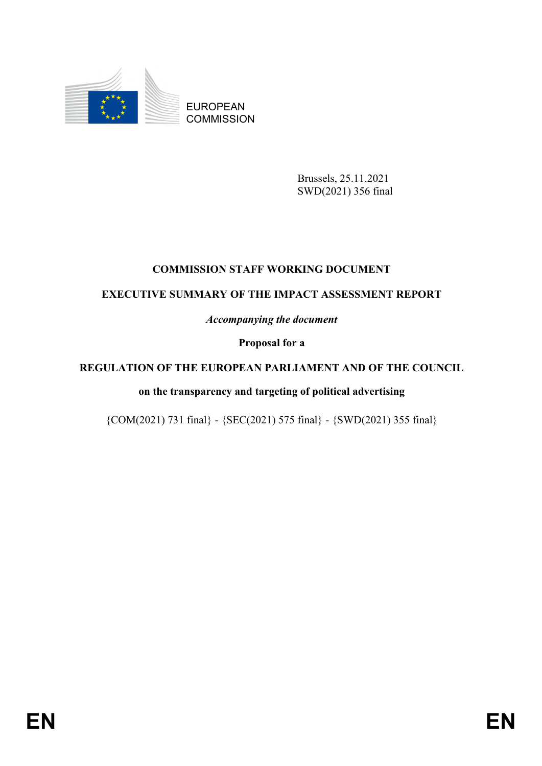

EUROPEAN **COMMISSION** 

> Brussels, 25.11.2021 SWD(2021) 356 final

# **COMMISSION STAFF WORKING DOCUMENT**

# **EXECUTIVE SUMMARY OF THE IMPACT ASSESSMENT REPORT**

*Accompanying the document*

**Proposal for a** 

# **REGULATION OF THE EUROPEAN PARLIAMENT AND OF THE COUNCIL**

# **on the transparency and targeting of political advertising**

{COM(2021) 731 final} - {SEC(2021) 575 final} - {SWD(2021) 355 final}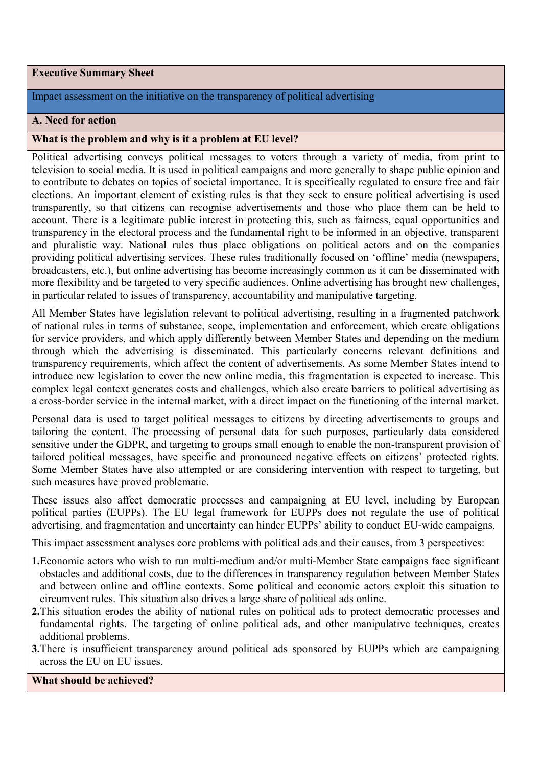#### **Executive Summary Sheet**

## Impact assessment on the initiative on the transparency of political advertising

#### **A. Need for action**

#### **What is the problem and why is it a problem at EU level?**

Political advertising conveys political messages to voters through a variety of media, from print to television to social media. It is used in political campaigns and more generally to shape public opinion and to contribute to debates on topics of societal importance. It is specifically regulated to ensure free and fair elections. An important element of existing rules is that they seek to ensure political advertising is used transparently, so that citizens can recognise advertisements and those who place them can be held to account. There is a legitimate public interest in protecting this, such as fairness, equal opportunities and transparency in the electoral process and the fundamental right to be informed in an objective, transparent and pluralistic way. National rules thus place obligations on political actors and on the companies providing political advertising services. These rules traditionally focused on 'offline' media (newspapers, broadcasters, etc.), but online advertising has become increasingly common as it can be disseminated with more flexibility and be targeted to very specific audiences. Online advertising has brought new challenges, in particular related to issues of transparency, accountability and manipulative targeting.

All Member States have legislation relevant to political advertising, resulting in a fragmented patchwork of national rules in terms of substance, scope, implementation and enforcement, which create obligations for service providers, and which apply differently between Member States and depending on the medium through which the advertising is disseminated. This particularly concerns relevant definitions and transparency requirements, which affect the content of advertisements. As some Member States intend to introduce new legislation to cover the new online media, this fragmentation is expected to increase. This complex legal context generates costs and challenges, which also create barriers to political advertising as a cross-border service in the internal market, with a direct impact on the functioning of the internal market.

Personal data is used to target political messages to citizens by directing advertisements to groups and tailoring the content. The processing of personal data for such purposes, particularly data considered sensitive under the GDPR, and targeting to groups small enough to enable the non-transparent provision of tailored political messages, have specific and pronounced negative effects on citizens' protected rights. Some Member States have also attempted or are considering intervention with respect to targeting, but such measures have proved problematic.

These issues also affect democratic processes and campaigning at EU level, including by European political parties (EUPPs). The EU legal framework for EUPPs does not regulate the use of political advertising, and fragmentation and uncertainty can hinder EUPPs' ability to conduct EU-wide campaigns.

This impact assessment analyses core problems with political ads and their causes, from 3 perspectives:

- **1.**Economic actors who wish to run multi-medium and/or multi-Member State campaigns face significant obstacles and additional costs, due to the differences in transparency regulation between Member States and between online and offline contexts. Some political and economic actors exploit this situation to circumvent rules. This situation also drives a large share of political ads online.
- **2.**This situation erodes the ability of national rules on political ads to protect democratic processes and fundamental rights. The targeting of online political ads, and other manipulative techniques, creates additional problems.
- **3.**There is insufficient transparency around political ads sponsored by EUPPs which are campaigning across the EU on EU issues.

**What should be achieved?**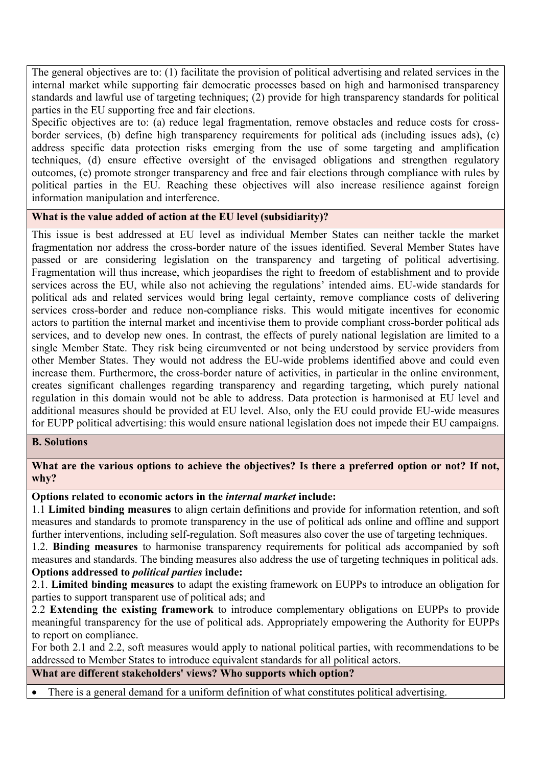The general objectives are to: (1) facilitate the provision of political advertising and related services in the internal market while supporting fair democratic processes based on high and harmonised transparency standards and lawful use of targeting techniques; (2) provide for high transparency standards for political parties in the EU supporting free and fair elections.

Specific objectives are to: (a) reduce legal fragmentation, remove obstacles and reduce costs for crossborder services, (b) define high transparency requirements for political ads (including issues ads), (c) address specific data protection risks emerging from the use of some targeting and amplification techniques, (d) ensure effective oversight of the envisaged obligations and strengthen regulatory outcomes, (e) promote stronger transparency and free and fair elections through compliance with rules by political parties in the EU. Reaching these objectives will also increase resilience against foreign information manipulation and interference.

### **What is the value added of action at the EU level (subsidiarity)?**

This issue is best addressed at EU level as individual Member States can neither tackle the market fragmentation nor address the cross-border nature of the issues identified. Several Member States have passed or are considering legislation on the transparency and targeting of political advertising. Fragmentation will thus increase, which jeopardises the right to freedom of establishment and to provide services across the EU, while also not achieving the regulations' intended aims. EU-wide standards for political ads and related services would bring legal certainty, remove compliance costs of delivering services cross-border and reduce non-compliance risks. This would mitigate incentives for economic actors to partition the internal market and incentivise them to provide compliant cross-border political ads services, and to develop new ones. In contrast, the effects of purely national legislation are limited to a single Member State. They risk being circumvented or not being understood by service providers from other Member States. They would not address the EU-wide problems identified above and could even increase them. Furthermore, the cross-border nature of activities, in particular in the online environment, creates significant challenges regarding transparency and regarding targeting, which purely national regulation in this domain would not be able to address. Data protection is harmonised at EU level and additional measures should be provided at EU level. Also, only the EU could provide EU-wide measures for EUPP political advertising: this would ensure national legislation does not impede their EU campaigns.

### **B. Solutions**

**What are the various options to achieve the objectives? Is there a preferred option or not? If not, why?**

### **Options related to economic actors in the** *internal market* **include:**

1.1 **Limited binding measures** to align certain definitions and provide for information retention, and soft measures and standards to promote transparency in the use of political ads online and offline and support further interventions, including self-regulation. Soft measures also cover the use of targeting techniques.

1.2. **Binding measures** to harmonise transparency requirements for political ads accompanied by soft measures and standards. The binding measures also address the use of targeting techniques in political ads. **Options addressed to** *political parties* **include:**

2.1. **Limited binding measures** to adapt the existing framework on EUPPs to introduce an obligation for parties to support transparent use of political ads; and

2.2 **Extending the existing framework** to introduce complementary obligations on EUPPs to provide meaningful transparency for the use of political ads. Appropriately empowering the Authority for EUPPs to report on compliance.

For both 2.1 and 2.2, soft measures would apply to national political parties, with recommendations to be addressed to Member States to introduce equivalent standards for all political actors.

**What are different stakeholders' views? Who supports which option?** 

There is a general demand for a uniform definition of what constitutes political advertising.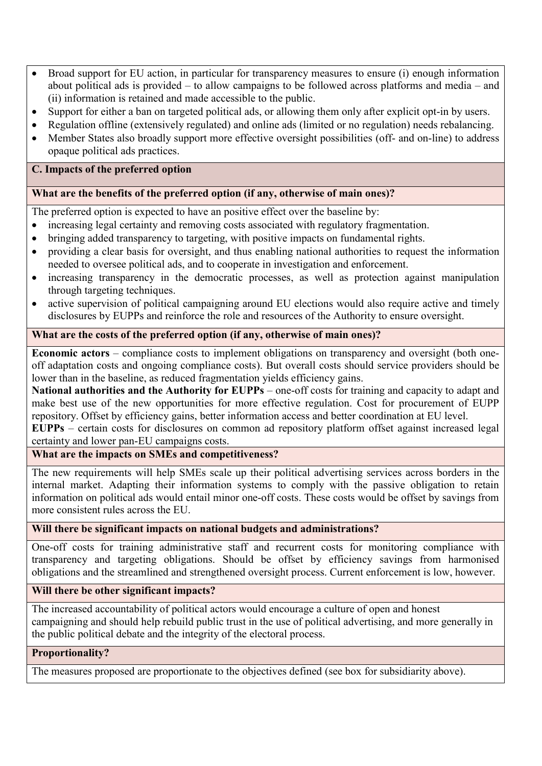- Broad support for EU action, in particular for transparency measures to ensure (i) enough information about political ads is provided – to allow campaigns to be followed across platforms and media – and (ii) information is retained and made accessible to the public.
- Support for either a ban on targeted political ads, or allowing them only after explicit opt-in by users.
- Regulation offline (extensively regulated) and online ads (limited or no regulation) needs rebalancing.
- Member States also broadly support more effective oversight possibilities (off- and on-line) to address opaque political ads practices.

# **C. Impacts of the preferred option**

## **What are the benefits of the preferred option (if any, otherwise of main ones)?**

The preferred option is expected to have an positive effect over the baseline by:

- increasing legal certainty and removing costs associated with regulatory fragmentation.
- bringing added transparency to targeting, with positive impacts on fundamental rights.
- providing a clear basis for oversight, and thus enabling national authorities to request the information needed to oversee political ads, and to cooperate in investigation and enforcement.
- increasing transparency in the democratic processes, as well as protection against manipulation through targeting techniques.
- active supervision of political campaigning around EU elections would also require active and timely disclosures by EUPPs and reinforce the role and resources of the Authority to ensure oversight.

### **What are the costs of the preferred option (if any, otherwise of main ones)?**

**Economic actors** – compliance costs to implement obligations on transparency and oversight (both oneoff adaptation costs and ongoing compliance costs). But overall costs should service providers should be lower than in the baseline, as reduced fragmentation yields efficiency gains.

**National authorities and the Authority for EUPPs** – one-off costs for training and capacity to adapt and make best use of the new opportunities for more effective regulation. Cost for procurement of EUPP repository. Offset by efficiency gains, better information access and better coordination at EU level.

**EUPPs** – certain costs for disclosures on common ad repository platform offset against increased legal certainty and lower pan-EU campaigns costs.

# **What are the impacts on SMEs and competitiveness?**

The new requirements will help SMEs scale up their political advertising services across borders in the internal market. Adapting their information systems to comply with the passive obligation to retain information on political ads would entail minor one-off costs. These costs would be offset by savings from more consistent rules across the EU.

### **Will there be significant impacts on national budgets and administrations?**

One-off costs for training administrative staff and recurrent costs for monitoring compliance with transparency and targeting obligations. Should be offset by efficiency savings from harmonised obligations and the streamlined and strengthened oversight process. Current enforcement is low, however.

### **Will there be other significant impacts?**

The increased accountability of political actors would encourage a culture of open and honest campaigning and should help rebuild public trust in the use of political advertising, and more generally in the public political debate and the integrity of the electoral process.

### **Proportionality?**

The measures proposed are proportionate to the objectives defined (see box for subsidiarity above).